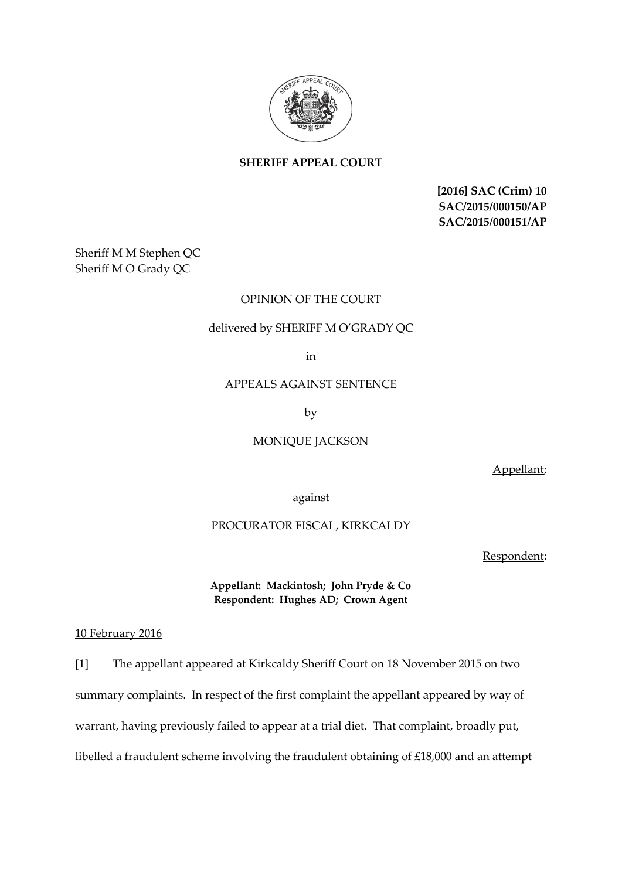

# **SHERIFF APPEAL COURT**

**[2016] SAC (Crim) 10 SAC/2015/000150/AP SAC/2015/000151/AP**

Sheriff M M Stephen QC Sheriff M O Grady QC

## OPINION OF THE COURT

### delivered by SHERIFF M O'GRADY QC

in

### APPEALS AGAINST SENTENCE

by

# MONIQUE JACKSON

Appellant;

against

#### PROCURATOR FISCAL, KIRKCALDY

Respondent:

**Appellant: Mackintosh; John Pryde & Co Respondent: Hughes AD; Crown Agent**

#### 10 February 2016

[1] The appellant appeared at Kirkcaldy Sheriff Court on 18 November 2015 on two summary complaints. In respect of the first complaint the appellant appeared by way of warrant, having previously failed to appear at a trial diet. That complaint, broadly put, libelled a fraudulent scheme involving the fraudulent obtaining of £18,000 and an attempt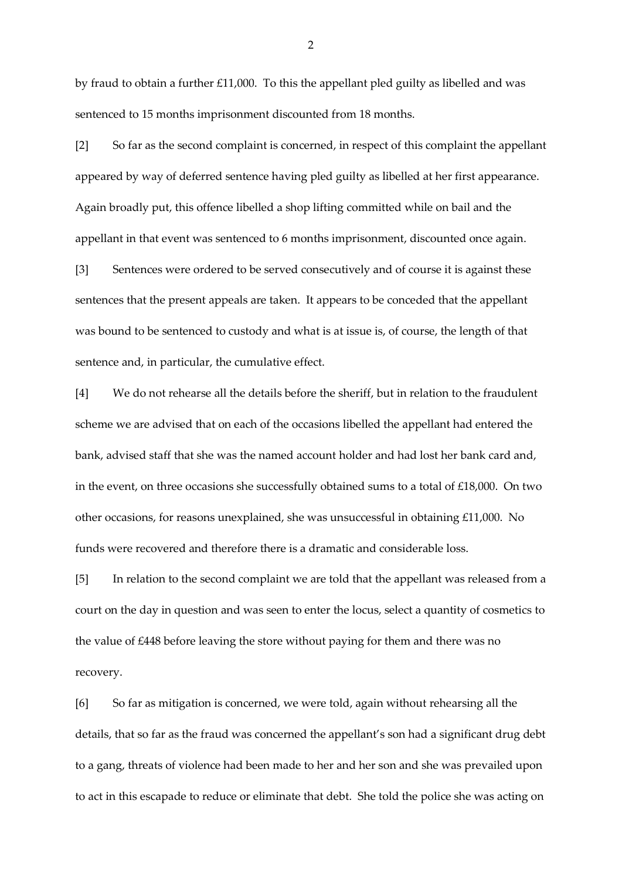by fraud to obtain a further £11,000. To this the appellant pled guilty as libelled and was sentenced to 15 months imprisonment discounted from 18 months.

[2] So far as the second complaint is concerned, in respect of this complaint the appellant appeared by way of deferred sentence having pled guilty as libelled at her first appearance. Again broadly put, this offence libelled a shop lifting committed while on bail and the appellant in that event was sentenced to 6 months imprisonment, discounted once again.

[3] Sentences were ordered to be served consecutively and of course it is against these sentences that the present appeals are taken. It appears to be conceded that the appellant was bound to be sentenced to custody and what is at issue is, of course, the length of that sentence and, in particular, the cumulative effect.

[4] We do not rehearse all the details before the sheriff, but in relation to the fraudulent scheme we are advised that on each of the occasions libelled the appellant had entered the bank, advised staff that she was the named account holder and had lost her bank card and, in the event, on three occasions she successfully obtained sums to a total of £18,000. On two other occasions, for reasons unexplained, she was unsuccessful in obtaining £11,000. No funds were recovered and therefore there is a dramatic and considerable loss.

[5] In relation to the second complaint we are told that the appellant was released from a court on the day in question and was seen to enter the locus, select a quantity of cosmetics to the value of £448 before leaving the store without paying for them and there was no recovery.

[6] So far as mitigation is concerned, we were told, again without rehearsing all the details, that so far as the fraud was concerned the appellant's son had a significant drug debt to a gang, threats of violence had been made to her and her son and she was prevailed upon to act in this escapade to reduce or eliminate that debt. She told the police she was acting on

2